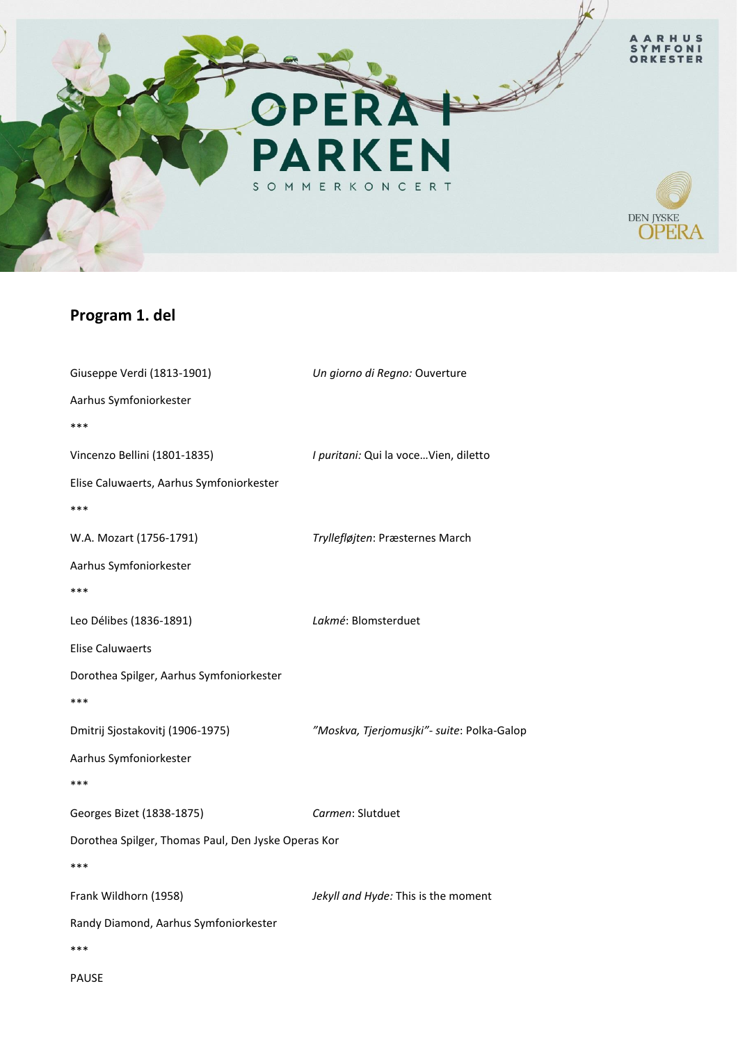

## **Program 1. del**

| Giuseppe Verdi (1813-1901)                          | Un giorno di Regno: Ouverture              |
|-----------------------------------------------------|--------------------------------------------|
| Aarhus Symfoniorkester                              |                                            |
| ***                                                 |                                            |
| Vincenzo Bellini (1801-1835)                        | I puritani: Qui la voce Vien, diletto      |
| Elise Caluwaerts, Aarhus Symfoniorkester            |                                            |
| ***                                                 |                                            |
| W.A. Mozart (1756-1791)                             | Tryllefløjten: Præsternes March            |
| Aarhus Symfoniorkester                              |                                            |
| ***                                                 |                                            |
| Leo Délibes (1836-1891)                             | Lakmé: Blomsterduet                        |
| <b>Elise Caluwaerts</b>                             |                                            |
| Dorothea Spilger, Aarhus Symfoniorkester            |                                            |
| ***                                                 |                                            |
| Dmitrij Sjostakovitj (1906-1975)                    | "Moskva, Tjerjomusjki"- suite: Polka-Galop |
| Aarhus Symfoniorkester                              |                                            |
| ***                                                 |                                            |
| Georges Bizet (1838-1875)                           | Carmen: Slutduet                           |
| Dorothea Spilger, Thomas Paul, Den Jyske Operas Kor |                                            |
| ***                                                 |                                            |
| Frank Wildhorn (1958)                               | Jekyll and Hyde: This is the moment        |
| Randy Diamond, Aarhus Symfoniorkester               |                                            |
| ***                                                 |                                            |
| <b>PAUSE</b>                                        |                                            |